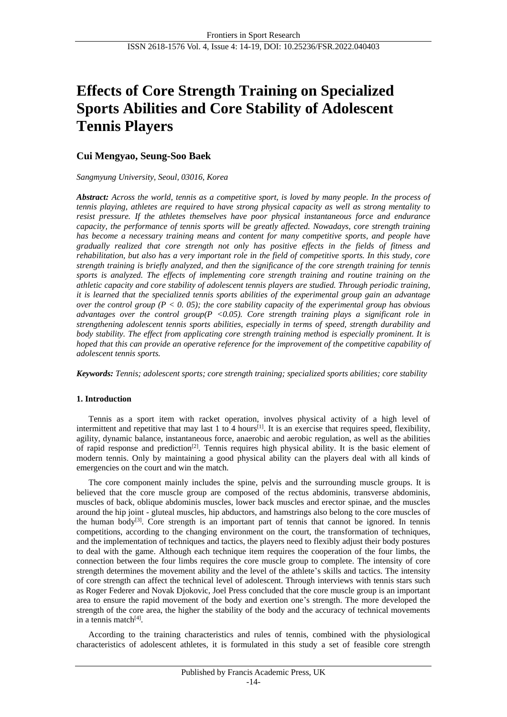# **Effects of Core Strength Training on Specialized Sports Abilities and Core Stability of Adolescent Tennis Players**

# **Cui Mengyao, Seung-Soo Baek**

# *Sangmyung University, Seoul, 03016, Korea*

*Abstract: Across the world, tennis as a competitive sport, is loved by many people. In the process of tennis playing, athletes are required to have strong physical capacity as well as strong mentality to resist pressure. If the athletes themselves have poor physical instantaneous force and endurance capacity, the performance of tennis sports will be greatly affected. Nowadays, core strength training has become a necessary training means and content for many competitive sports, and people have gradually realized that core strength not only has positive effects in the fields of fitness and rehabilitation, but also has a very important role in the field of competitive sports. In this study, core strength training is briefly analyzed, and then the significance of the core strength training for tennis sports is analyzed. The effects of implementing core strength training and routine training on the athletic capacity and core stability of adolescent tennis players are studied. Through periodic training, it is learned that the specialized tennis sports abilities of the experimental group gain an advantage over the control group (P < 0. 05); the core stability capacity of the experimental group has obvious advantages over the control group(P <0.05). Core strength training plays a significant role in strengthening adolescent tennis sports abilities, especially in terms of speed, strength durability and body stability. The effect from applicating core strength training method is especially prominent. It is hoped that this can provide an operative reference for the improvement of the competitive capability of adolescent tennis sports.* 

*Keywords: Tennis; adolescent sports; core strength training; specialized sports abilities; core stability*

# **1. Introduction**

Tennis as a sport item with racket operation, involves physical activity of a high level of intermittent and repetitive that may last 1 to 4 hours<sup>[1]</sup>. It is an exercise that requires speed, flexibility, agility, dynamic balance, instantaneous force, anaerobic and aerobic regulation, as well as the abilities of rapid response and prediction[2]. Tennis requires high physical ability. It is the basic element of modern tennis. Only by maintaining a good physical ability can the players deal with all kinds of emergencies on the court and win the match.

The core component mainly includes the spine, pelvis and the surrounding muscle groups. It is believed that the core muscle group are composed of the rectus abdominis, transverse abdominis, muscles of back, oblique abdominis muscles, lower back muscles and erector spinae, and the muscles around the hip joint - gluteal muscles, hip abductors, and hamstrings also belong to the core muscles of the human body<sup>[3]</sup>. Core strength is an important part of tennis that cannot be ignored. In tennis competitions, according to the changing environment on the court, the transformation of techniques, and the implementation of techniques and tactics, the players need to flexibly adjust their body postures to deal with the game. Although each technique item requires the cooperation of the four limbs, the connection between the four limbs requires the core muscle group to complete. The intensity of core strength determines the movement ability and the level of the athlete's skills and tactics. The intensity of core strength can affect the technical level of adolescent. Through interviews with tennis stars such as Roger Federer and Novak Djokovic, Joel Press concluded that the core muscle group is an important area to ensure the rapid movement of the body and exertion one's strength. The more developed the strength of the core area, the higher the stability of the body and the accuracy of technical movements in a tennis match<sup>[4]</sup>.

According to the training characteristics and rules of tennis, combined with the physiological characteristics of adolescent athletes, it is formulated in this study a set of feasible core strength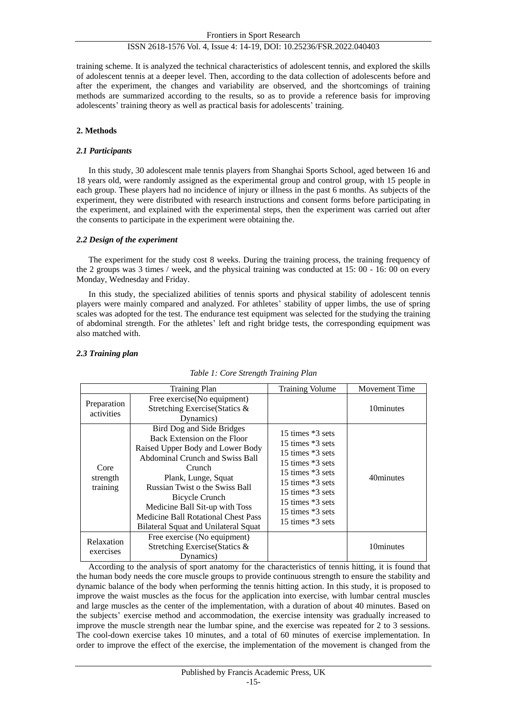training scheme. It is analyzed the technical characteristics of adolescent tennis, and explored the skills of adolescent tennis at a deeper level. Then, according to the data collection of adolescents before and after the experiment, the changes and variability are observed, and the shortcomings of training methods are summarized according to the results, so as to provide a reference basis for improving adolescents' training theory as well as practical basis for adolescents' training.

# **2. Methods**

# *2.1 Participants*

In this study, 30 adolescent male tennis players from Shanghai Sports School, aged between 16 and 18 years old, were randomly assigned as the experimental group and control group, with 15 people in each group. These players had no incidence of injury or illness in the past 6 months. As subjects of the experiment, they were distributed with research instructions and consent forms before participating in the experiment, and explained with the experimental steps, then the experiment was carried out after the consents to participate in the experiment were obtaining the.

# *2.2 Design of the experiment*

The experiment for the study cost 8 weeks. During the training process, the training frequency of the 2 groups was 3 times / week, and the physical training was conducted at 15: 00 - 16: 00 on every Monday, Wednesday and Friday.

In this study, the specialized abilities of tennis sports and physical stability of adolescent tennis players were mainly compared and analyzed. For athletes' stability of upper limbs, the use of spring scales was adopted for the test. The endurance test equipment was selected for the studying the training of abdominal strength. For the athletes' left and right bridge tests, the corresponding equipment was also matched with.

# *2.3 Training plan*

|                              | <b>Training Plan</b>                                                                                                                                                                                                                                                                                                                  | <b>Training Volume</b>                                                                                                                                                                                       | <b>Movement Time</b> |
|------------------------------|---------------------------------------------------------------------------------------------------------------------------------------------------------------------------------------------------------------------------------------------------------------------------------------------------------------------------------------|--------------------------------------------------------------------------------------------------------------------------------------------------------------------------------------------------------------|----------------------|
| Preparation<br>activities    | Free exercise(No equipment)<br>Stretching Exercise (Statics &<br>Dynamics)                                                                                                                                                                                                                                                            |                                                                                                                                                                                                              | 10minutes            |
| Core<br>strength<br>training | Bird Dog and Side Bridges<br>Back Extension on the Floor<br>Raised Upper Body and Lower Body<br>Abdominal Crunch and Swiss Ball<br>Crunch<br>Plank, Lunge, Squat<br>Russian Twist o the Swiss Ball<br>Bicycle Crunch<br>Medicine Ball Sit-up with Toss<br>Medicine Ball Rotational Chest Pass<br>Bilateral Squat and Unilateral Squat | 15 times *3 sets<br>15 times *3 sets<br>15 times $*3$ sets<br>15 times *3 sets<br>15 times $*3$ sets<br>15 times $*3$ sets<br>15 times $*3$ sets<br>15 times *3 sets<br>15 times *3 sets<br>15 times *3 sets | 40minutes            |
| Relaxation<br>exercises      | Free exercise (No equipment)<br>Stretching Exercise (Statics &<br>Dynamics)                                                                                                                                                                                                                                                           |                                                                                                                                                                                                              | 10minutes            |

# *Table 1: Core Strength Training Plan*

According to the analysis of sport anatomy for the characteristics of tennis hitting, it is found that the human body needs the core muscle groups to provide continuous strength to ensure the stability and dynamic balance of the body when performing the tennis hitting action. In this study, it is proposed to improve the waist muscles as the focus for the application into exercise, with lumbar central muscles and large muscles as the center of the implementation, with a duration of about 40 minutes. Based on the subjects' exercise method and accommodation, the exercise intensity was gradually increased to improve the muscle strength near the lumbar spine, and the exercise was repeated for 2 to 3 sessions. The cool-down exercise takes 10 minutes, and a total of 60 minutes of exercise implementation. In order to improve the effect of the exercise, the implementation of the movement is changed from the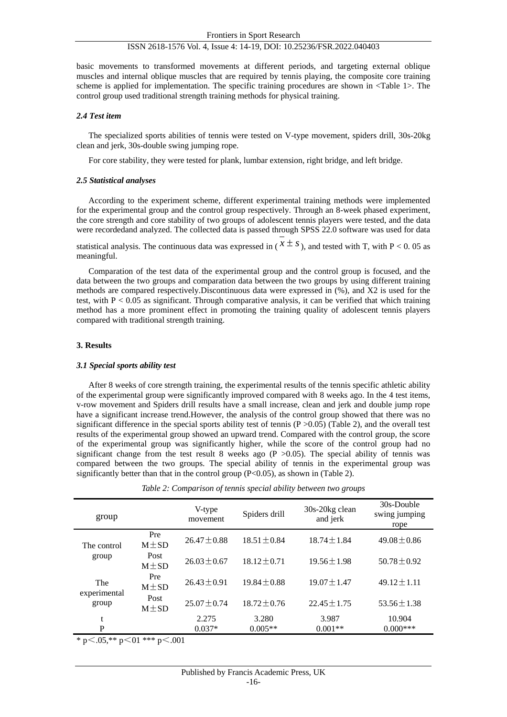basic movements to transformed movements at different periods, and targeting external oblique muscles and internal oblique muscles that are required by tennis playing, the composite core training scheme is applied for implementation. The specific training procedures are shown in <Table 1>. The control group used traditional strength training methods for physical training.

#### *2.4 Test item*

The specialized sports abilities of tennis were tested on V-type movement, spiders drill, 30s-20kg clean and jerk, 30s-double swing jumping rope.

For core stability, they were tested for plank, lumbar extension, right bridge, and left bridge.

#### *2.5 Statistical analyses*

According to the experiment scheme, different experimental training methods were implemented for the experimental group and the control group respectively. Through an 8-week phased experiment, the core strength and core stability of two groups of adolescent tennis players were tested, and the data were recordedand analyzed. The collected data is passed through SPSS 22.0 software was used for data

statistical analysis. The continuous data was expressed in ( $x \pm s$ ), and tested with T, with P < 0.05 as meaningful.

Comparation of the test data of the experimental group and the control group is focused, and the data between the two groups and comparation data between the two groups by using different training methods are compared respectively.Discontinuous data were expressed in (%), and X2 is used for the test, with  $P < 0.05$  as significant. Through comparative analysis, it can be verified that which training method has a more prominent effect in promoting the training quality of adolescent tennis players compared with traditional strength training.

#### **3. Results**

#### *3.1 Special sports ability test*

After 8 weeks of core strength training, the experimental results of the tennis specific athletic ability of the experimental group were significantly improved compared with 8 weeks ago. In the 4 test items, v-row movement and Spiders drill results have a small increase, clean and jerk and double jump rope have a significant increase trend.However, the analysis of the control group showed that there was no significant difference in the special sports ability test of tennis (P > 0.05) (Table 2), and the overall test results of the experimental group showed an upward trend. Compared with the control group, the score of the experimental group was significantly higher, while the score of the control group had no significant change from the test result 8 weeks ago  $(P > 0.05)$ . The special ability of tennis was compared between the two groups. The special ability of tennis in the experimental group was significantly better than that in the control group (P<0.05), as shown in (Table 2).

| group                 |                    | V-type<br>movement | Spiders drill    | 30s-20kg clean<br>and jerk | 30s-Double<br>swing jumping<br>rope |
|-----------------------|--------------------|--------------------|------------------|----------------------------|-------------------------------------|
| The control           | Pre<br>$M \pm SD$  | $26.47 \pm 0.88$   | $18.51 \pm 0.84$ | $18.74 \pm 1.84$           | $49.08 \pm 0.86$                    |
| group                 | Post<br>$M \pm SD$ | $26.03 \pm 0.67$   | $18.12 \pm 0.71$ | $19.56 \pm 1.98$           | $50.78 \pm 0.92$                    |
| The                   | Pre<br>$M \pm SD$  | $26.43 \pm 0.91$   | $19.84 + 0.88$   | $19.07 \pm 1.47$           | $49.12 \pm 1.11$                    |
| experimental<br>group | Post<br>$M \pm SD$ | $25.07 \pm 0.74$   | $18.72 \pm 0.76$ | $22.45 + 1.75$             | $53.56 \pm 1.38$                    |
| t                     |                    | 2.275              | 3.280            | 3.987                      | 10.904                              |
| P                     |                    | $0.037*$           | $0.005**$        | $0.001**$                  | $0.000***$                          |

*Table 2: Comparison of tennis special ability between two groups*

\* p $\leq$ .05,\*\* p $\leq$ 01 \*\*\* p $\leq$ .001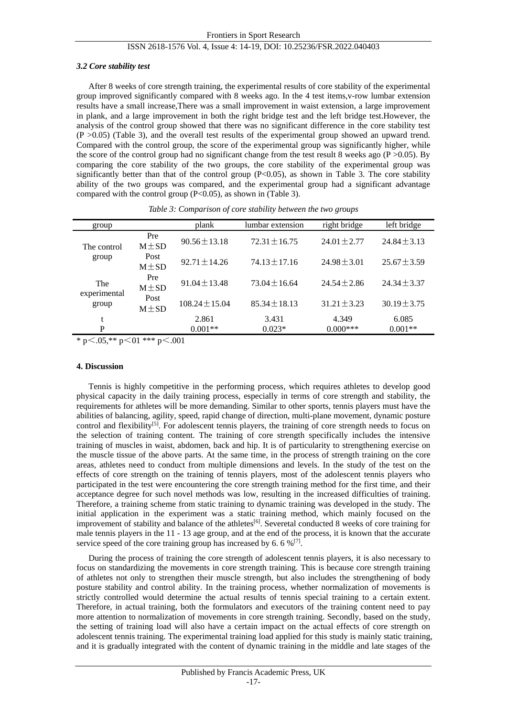#### *3.2 Core stability test*

After 8 weeks of core strength training, the experimental results of core stability of the experimental group improved significantly compared with 8 weeks ago. In the 4 test items,v-row lumbar extension results have a small increase,There was a small improvement in waist extension, a large improvement in plank, and a large improvement in both the right bridge test and the left bridge test.However, the analysis of the control group showed that there was no significant difference in the core stability test  $(P > 0.05)$  (Table 3), and the overall test results of the experimental group showed an upward trend. Compared with the control group, the score of the experimental group was significantly higher, while the score of the control group had no significant change from the test result 8 weeks ago ( $P > 0.05$ ). By comparing the core stability of the two groups, the core stability of the experimental group was significantly better than that of the control group  $(P<0.05)$ , as shown in Table 3. The core stability ability of the two groups was compared, and the experimental group had a significant advantage compared with the control group  $(P< 0.05)$ , as shown in (Table 3).

| group                        |                    | plank              | lumbar extension  | right bridge     | left bridge      |
|------------------------------|--------------------|--------------------|-------------------|------------------|------------------|
| The control<br>group         | Pre<br>$M \pm SD$  | $90.56 \pm 13.18$  | $72.31 \pm 16.75$ | $24.01 + 2.77$   | $24.84 \pm 3.13$ |
|                              | Post<br>$M \pm SD$ | $92.71 \pm 14.26$  | $74.13 \pm 17.16$ | $24.98 \pm 3.01$ | $25.67 \pm 3.59$ |
| The<br>experimental<br>group | Pre<br>$M \pm SD$  | $91.04 + 13.48$    | $73.04 \pm 16.64$ | $24.54 + 2.86$   | $24.34 + 3.37$   |
|                              | Post<br>$M \pm SD$ | $108.24 \pm 15.04$ | $85.34 \pm 18.13$ | $31.21 \pm 3.23$ | $30.19 \pm 3.75$ |
| t                            |                    | 2.861              | 3.431             | 4.349            | 6.085            |
| P                            |                    | $0.001**$          | $0.023*$          | $0.000***$       | $0.001**$        |

*Table 3: Comparison of core stability between the two groups*

\* p $\leq$ .05,\*\* p $\leq$ 01 \*\*\* p $\leq$ .001

# **4. Discussion**

Tennis is highly competitive in the performing process, which requires athletes to develop good physical capacity in the daily training process, especially in terms of core strength and stability, the requirements for athletes will be more demanding. Similar to other sports, tennis players must have the abilities of balancing, agility, speed, rapid change of direction, multi-plane movement, dynamic posture control and flexibility<sup>[5]</sup>. For adolescent tennis players, the training of core strength needs to focus on the selection of training content. The training of core strength specifically includes the intensive training of muscles in waist, abdomen, back and hip. It is of particularity to strengthening exercise on the muscle tissue of the above parts. At the same time, in the process of strength training on the core areas, athletes need to conduct from multiple dimensions and levels. In the study of the test on the effects of core strength on the training of tennis players, most of the adolescent tennis players who participated in the test were encountering the core strength training method for the first time, and their acceptance degree for such novel methods was low, resulting in the increased difficulties of training. Therefore, a training scheme from static training to dynamic training was developed in the study. The initial application in the experiment was a static training method, which mainly focused on the improvement of stability and balance of the athletes<sup>[6]</sup>. Severetal conducted 8 weeks of core training for male tennis players in the 11 - 13 age group, and at the end of the process, it is known that the accurate service speed of the core training group has increased by 6.6 % $[7]$ .

During the process of training the core strength of adolescent tennis players, it is also necessary to focus on standardizing the movements in core strength training. This is because core strength training of athletes not only to strengthen their muscle strength, but also includes the strengthening of body posture stability and control ability. In the training process, whether normalization of movements is strictly controlled would determine the actual results of tennis special training to a certain extent. Therefore, in actual training, both the formulators and executors of the training content need to pay more attention to normalization of movements in core strength training. Secondly, based on the study, the setting of training load will also have a certain impact on the actual effects of core strength on adolescent tennis training. The experimental training load applied for this study is mainly static training, and it is gradually integrated with the content of dynamic training in the middle and late stages of the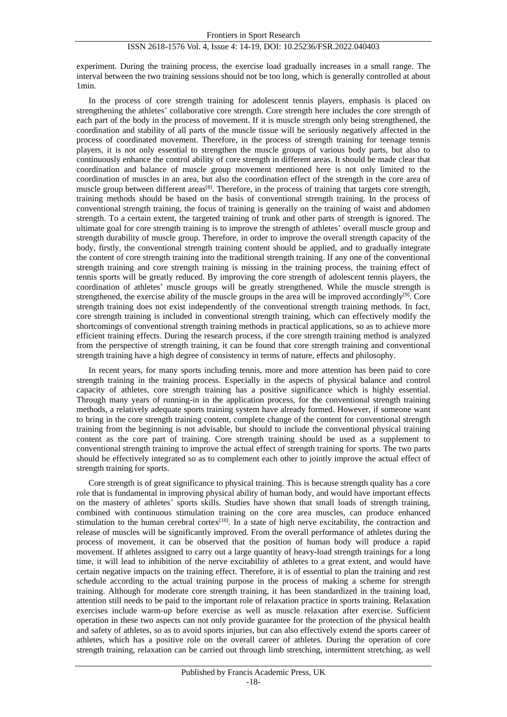experiment. During the training process, the exercise load gradually increases in a small range. The interval between the two training sessions should not be too long, which is generally controlled at about 1min.

In the process of core strength training for adolescent tennis players, emphasis is placed on strengthening the athletes' collaborative core strength. Core strength here includes the core strength of each part of the body in the process of movement. If it is muscle strength only being strengthened, the coordination and stability of all parts of the muscle tissue will be seriously negatively affected in the process of coordinated movement. Therefore, in the process of strength training for teenage tennis players, it is not only essential to strengthen the muscle groups of various body parts, but also to continuously enhance the control ability of core strength in different areas. It should be made clear that coordination and balance of muscle group movement mentioned here is not only limited to the coordination of muscles in an area, but also the coordination effect of the strength in the core area of muscle group between different areas<sup>[8]</sup>. Therefore, in the process of training that targets core strength, training methods should be based on the basis of conventional strength training. In the process of conventional strength training, the focus of training is generally on the training of waist and abdomen strength. To a certain extent, the targeted training of trunk and other parts of strength is ignored. The ultimate goal for core strength training is to improve the strength of athletes' overall muscle group and strength durability of muscle group. Therefore, in order to improve the overall strength capacity of the body, firstly, the conventional strength training content should be applied, and to gradually integrate the content of core strength training into the traditional strength training. If any one of the conventional strength training and core strength training is missing in the training process, the training effect of tennis sports will be greatly reduced. By improving the core strength of adolescent tennis players, the coordination of athletes' muscle groups will be greatly strengthened. While the muscle strength is strengthened, the exercise ability of the muscle groups in the area will be improved accordingly<sup>[9]</sup>. Core strength training does not exist independently of the conventional strength training methods. In fact, core strength training is included in conventional strength training, which can effectively modify the shortcomings of conventional strength training methods in practical applications, so as to achieve more efficient training effects. During the research process, if the core strength training method is analyzed from the perspective of strength training, it can be found that core strength training and conventional strength training have a high degree of consistency in terms of nature, effects and philosophy.

In recent years, for many sports including tennis, more and more attention has been paid to core strength training in the training process. Especially in the aspects of physical balance and control capacity of athletes, core strength training has a positive significance which is highly essential. Through many years of running-in in the application process, for the conventional strength training methods, a relatively adequate sports training system have already formed. However, if someone want to bring in the core strength training content, complete change of the content for conventional strength training from the beginning is not advisable, but should to include the conventional physical training content as the core part of training. Core strength training should be used as a supplement to conventional strength training to improve the actual effect of strength training for sports. The two parts should be effectively integrated so as to complement each other to jointly improve the actual effect of strength training for sports.

Core strength is of great significance to physical training. This is because strength quality has a core role that is fundamental in improving physical ability of human body, and would have important effects on the mastery of athletes' sports skills. Studies have shown that small loads of strength training, combined with continuous stimulation training on the core area muscles, can produce enhanced stimulation to the human cerebral cortex<sup>[10]</sup>. In a state of high nerve excitability, the contraction and release of muscles will be significantly improved. From the overall performance of athletes during the process of movement, it can be observed that the position of human body will produce a rapid movement. If athletes assigned to carry out a large quantity of heavy-load strength trainings for a long time, it will lead to inhibition of the nerve excitability of athletes to a great extent, and would have certain negative impacts on the training effect. Therefore, it is of essential to plan the training and rest schedule according to the actual training purpose in the process of making a scheme for strength training. Although for moderate core strength training, it has been standardized in the training load, attention still needs to be paid to the important role of relaxation practice in sports training. Relaxation exercises include warm-up before exercise as well as muscle relaxation after exercise. Sufficient operation in these two aspects can not only provide guarantee for the protection of the physical health and safety of athletes, so as to avoid sports injuries, but can also effectively extend the sports career of athletes, which has a positive role on the overall career of athletes. During the operation of core strength training, relaxation can be carried out through limb stretching, intermittent stretching, as well